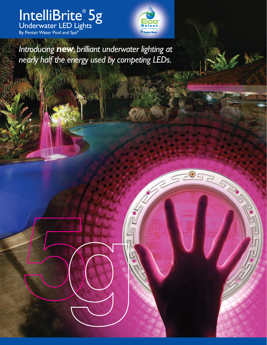IntelliBrite® 5g Underwater LED Lights By Pentair Water Pool and Spa $^\circ$ 



*Introducing new, brilliant underwater lighting at nearly half the energy used by competing LEDs.*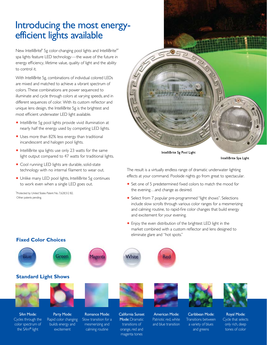# Introducing the most energyefficient lights available

New IntelliBrite® 5g color-changing pool lights and IntelliBrite®\* spa lights feature LED technology—the wave of the future in energy efficiency, lifetime value, quality of light and the ability to control it.

With IntelliBrite 5g, combinations of individual colored LEDs are mixed and matched to achieve a vibrant spectrum of colors. These combinations are power sequenced to illuminate and cycle through colors at varying speeds, and in different sequences of color. With its custom reflector and unique lens design, the IntelliBrite 5g is the brightest and most efficient underwater LED light available.

- **•** IntelliBrite 5g pool lights provide vivid illumination at nearly half the energy used by competing LED lights.
- **•** Uses more than 82% less energy than traditional incandescent and halogen pool lights.
- **•** IntelliBrite spa lights use only 23 watts for the same light output compared to 47 watts for traditional lights.
- **•** Cool running LED lights are durable, solid-state technology with no internal filament to wear out.
- **•** Unlike many LED pool lights, IntelliBrite 5g continues to work even when a single LED goes out.

*\** Protected by United States Patent No. 7,628,512 B2. Other patents pending.



IntelliBrite 5g Pool Light

IntelliBrite Spa Light

The result is a virtually endless range of dramatic underwater lighting effects at your command. Poolside nights go from great to spectacular.

- **•** Set one of 5 predetermined fixed colors to match the mood for the evening…and change as desired.
- **•** Select from 7 popular pre-programmed "light shows". Selections include slow scrolls through various color ranges for a mesmerizing and calming routine, to rapid-fire color changes that build energy and excitement for your evening.
- **•** Enjoy the even distribution of the brightest LED light in the market combined with a custom reflector and lens designed to eliminate glare and "hot spots."



#### **Fixed Color Choices**



Rapid color changing builds energy and excitement

Slow transition for a mesmerizing and calming routine

Mode: Dramatic transitions of orange, red and magenta tones

Transitions between a variety of blues and greens

and blue transition



Royal Mode: Cycle that selects only rich, deep tones of color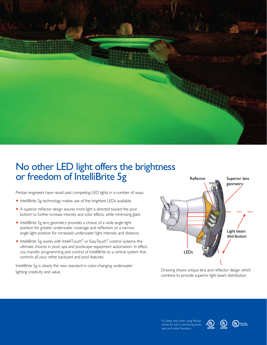

## No other LED light offers the brightness or freedom of IntelliBrite 5g

Pentair engineers have raced past competing LED lights in a number of ways.

- **•** IntelliBrite 5g technology makes use of the brightest LEDs available.
- **•** A superior reflector design assures more light is directed toward the pool bottom to further increase intensity and color effects, while minimizing glare.
- **•** IntelliBrite 5g lens geometry provides a choice of a wide angle light position for greater underwater coverage and reflection or a narrow angle light position for increased underwater light intensity and distance.
- IntelliBrite 5g works with IntelliTouch<sup>®</sup> or EasyTouch<sup>®</sup> control systems, the ultimate choices in pool, spa and poolscape equipment automation. In effect, you transfer programming and control of IntelliBrite to a central system that controls all your other backyard and pool features.

IntelliBrite 5g is clearly the new standard in color-changing underwater lighting creativity and value.



Drawing shows unique lens and reflector design which combine to provide superior light beam distribution.

UL listed only when using Pentair niches for use in swimming pools, spas and water fountains.